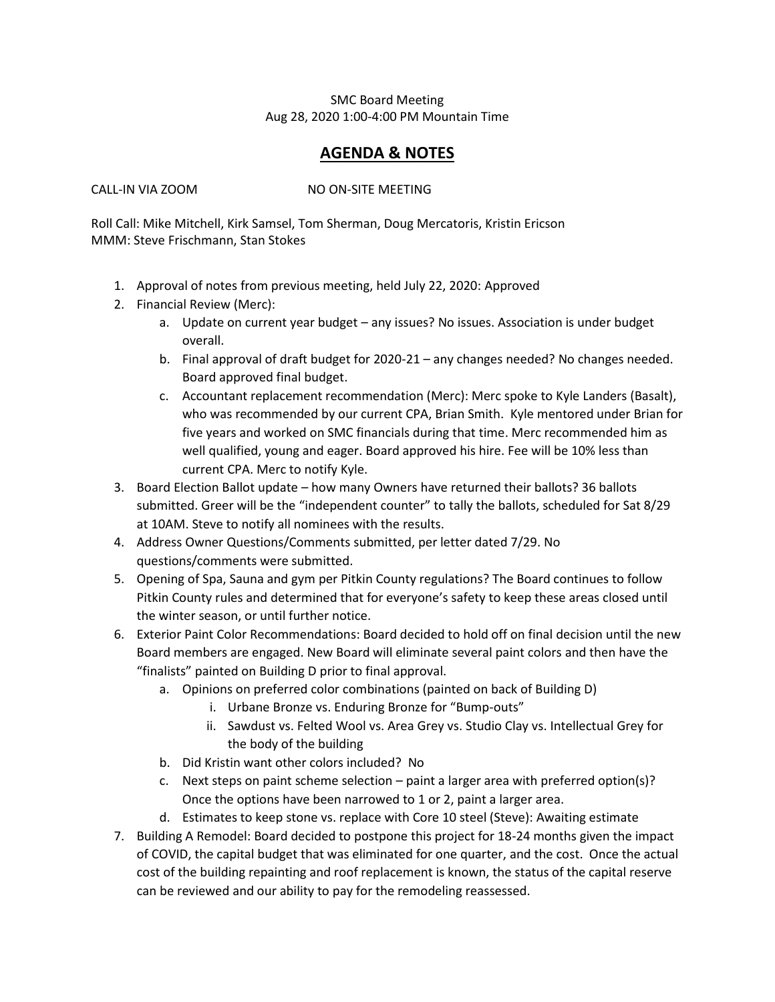## SMC Board Meeting Aug 28, 2020 1:00-4:00 PM Mountain Time

## **AGENDA & NOTES**

CALL-IN VIA ZOOM NO ON-SITE MEETING

Roll Call: Mike Mitchell, Kirk Samsel, Tom Sherman, Doug Mercatoris, Kristin Ericson MMM: Steve Frischmann, Stan Stokes

- 1. Approval of notes from previous meeting, held July 22, 2020: Approved
- 2. Financial Review (Merc):
	- a. Update on current year budget any issues? No issues. Association is under budget overall.
	- b. Final approval of draft budget for 2020-21 any changes needed? No changes needed. Board approved final budget.
	- c. Accountant replacement recommendation (Merc): Merc spoke to Kyle Landers (Basalt), who was recommended by our current CPA, Brian Smith. Kyle mentored under Brian for five years and worked on SMC financials during that time. Merc recommended him as well qualified, young and eager. Board approved his hire. Fee will be 10% less than current CPA. Merc to notify Kyle.
- 3. Board Election Ballot update how many Owners have returned their ballots? 36 ballots submitted. Greer will be the "independent counter" to tally the ballots, scheduled for Sat 8/29 at 10AM. Steve to notify all nominees with the results.
- 4. Address Owner Questions/Comments submitted, per letter dated 7/29. No questions/comments were submitted.
- 5. Opening of Spa, Sauna and gym per Pitkin County regulations? The Board continues to follow Pitkin County rules and determined that for everyone's safety to keep these areas closed until the winter season, or until further notice.
- 6. Exterior Paint Color Recommendations: Board decided to hold off on final decision until the new Board members are engaged. New Board will eliminate several paint colors and then have the "finalists" painted on Building D prior to final approval.
	- a. Opinions on preferred color combinations (painted on back of Building D)
		- i. Urbane Bronze vs. Enduring Bronze for "Bump-outs"
		- ii. Sawdust vs. Felted Wool vs. Area Grey vs. Studio Clay vs. Intellectual Grey for the body of the building
	- b. Did Kristin want other colors included? No
	- c. Next steps on paint scheme selection paint a larger area with preferred option(s)? Once the options have been narrowed to 1 or 2, paint a larger area.
	- d. Estimates to keep stone vs. replace with Core 10 steel (Steve): Awaiting estimate
- 7. Building A Remodel: Board decided to postpone this project for 18-24 months given the impact of COVID, the capital budget that was eliminated for one quarter, and the cost. Once the actual cost of the building repainting and roof replacement is known, the status of the capital reserve can be reviewed and our ability to pay for the remodeling reassessed.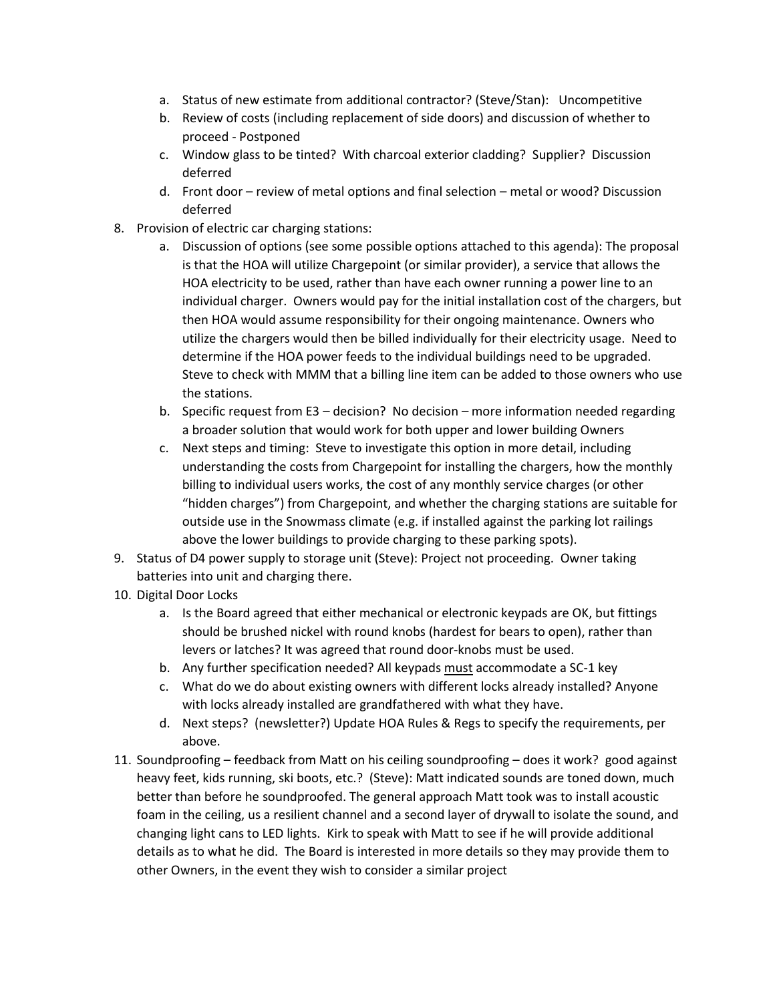- a. Status of new estimate from additional contractor? (Steve/Stan): Uncompetitive
- b. Review of costs (including replacement of side doors) and discussion of whether to proceed - Postponed
- c. Window glass to be tinted? With charcoal exterior cladding? Supplier? Discussion deferred
- d. Front door review of metal options and final selection metal or wood? Discussion deferred
- 8. Provision of electric car charging stations:
	- a. Discussion of options (see some possible options attached to this agenda): The proposal is that the HOA will utilize Chargepoint (or similar provider), a service that allows the HOA electricity to be used, rather than have each owner running a power line to an individual charger. Owners would pay for the initial installation cost of the chargers, but then HOA would assume responsibility for their ongoing maintenance. Owners who utilize the chargers would then be billed individually for their electricity usage. Need to determine if the HOA power feeds to the individual buildings need to be upgraded. Steve to check with MMM that a billing line item can be added to those owners who use the stations.
	- b. Specific request from E3 decision? No decision more information needed regarding a broader solution that would work for both upper and lower building Owners
	- c. Next steps and timing: Steve to investigate this option in more detail, including understanding the costs from Chargepoint for installing the chargers, how the monthly billing to individual users works, the cost of any monthly service charges (or other "hidden charges") from Chargepoint, and whether the charging stations are suitable for outside use in the Snowmass climate (e.g. if installed against the parking lot railings above the lower buildings to provide charging to these parking spots).
- 9. Status of D4 power supply to storage unit (Steve): Project not proceeding. Owner taking batteries into unit and charging there.
- 10. Digital Door Locks
	- a. Is the Board agreed that either mechanical or electronic keypads are OK, but fittings should be brushed nickel with round knobs (hardest for bears to open), rather than levers or latches? It was agreed that round door-knobs must be used.
	- b. Any further specification needed? All keypads must accommodate a SC-1 key
	- c. What do we do about existing owners with different locks already installed? Anyone with locks already installed are grandfathered with what they have.
	- d. Next steps? (newsletter?) Update HOA Rules & Regs to specify the requirements, per above.
- 11. Soundproofing feedback from Matt on his ceiling soundproofing does it work? good against heavy feet, kids running, ski boots, etc.? (Steve): Matt indicated sounds are toned down, much better than before he soundproofed. The general approach Matt took was to install acoustic foam in the ceiling, us a resilient channel and a second layer of drywall to isolate the sound, and changing light cans to LED lights. Kirk to speak with Matt to see if he will provide additional details as to what he did. The Board is interested in more details so they may provide them to other Owners, in the event they wish to consider a similar project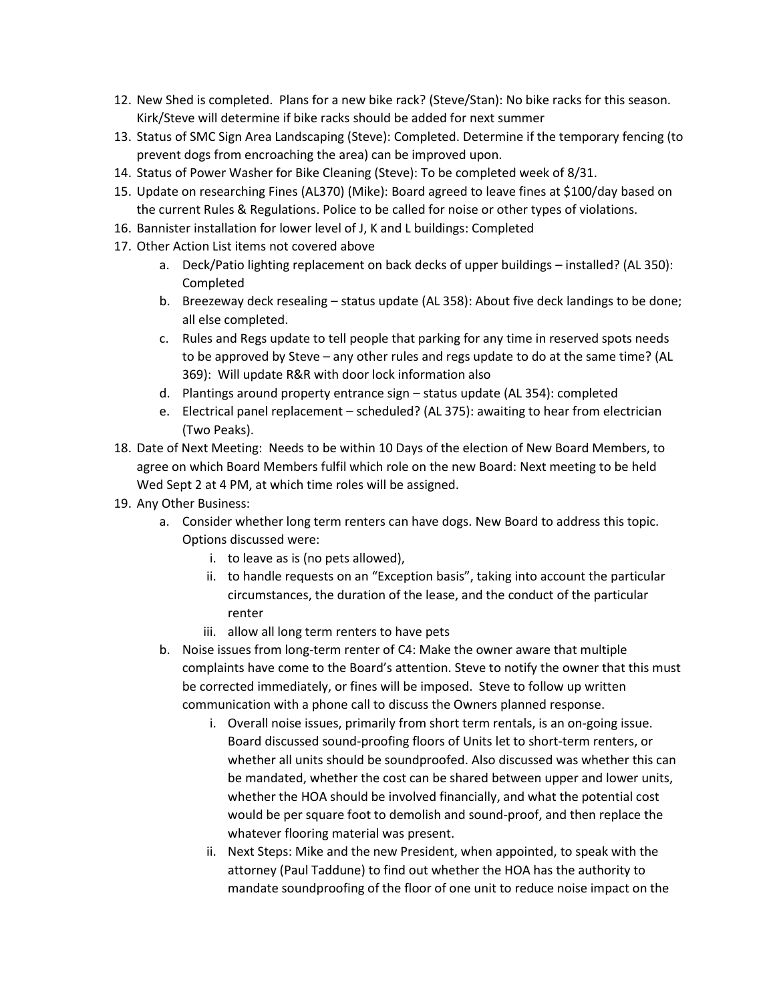- 12. New Shed is completed. Plans for a new bike rack? (Steve/Stan): No bike racks for this season. Kirk/Steve will determine if bike racks should be added for next summer
- 13. Status of SMC Sign Area Landscaping (Steve): Completed. Determine if the temporary fencing (to prevent dogs from encroaching the area) can be improved upon.
- 14. Status of Power Washer for Bike Cleaning (Steve): To be completed week of 8/31.
- 15. Update on researching Fines (AL370) (Mike): Board agreed to leave fines at \$100/day based on the current Rules & Regulations. Police to be called for noise or other types of violations.
- 16. Bannister installation for lower level of J, K and L buildings: Completed
- 17. Other Action List items not covered above
	- a. Deck/Patio lighting replacement on back decks of upper buildings installed? (AL 350): Completed
	- b. Breezeway deck resealing status update (AL 358): About five deck landings to be done; all else completed.
	- c. Rules and Regs update to tell people that parking for any time in reserved spots needs to be approved by Steve – any other rules and regs update to do at the same time? (AL 369): Will update R&R with door lock information also
	- d. Plantings around property entrance sign status update (AL 354): completed
	- e. Electrical panel replacement scheduled? (AL 375): awaiting to hear from electrician (Two Peaks).
- 18. Date of Next Meeting: Needs to be within 10 Days of the election of New Board Members, to agree on which Board Members fulfil which role on the new Board: Next meeting to be held Wed Sept 2 at 4 PM, at which time roles will be assigned.
- 19. Any Other Business:
	- a. Consider whether long term renters can have dogs. New Board to address this topic. Options discussed were:
		- i. to leave as is (no pets allowed),
		- ii. to handle requests on an "Exception basis", taking into account the particular circumstances, the duration of the lease, and the conduct of the particular renter
		- iii. allow all long term renters to have pets
	- b. Noise issues from long-term renter of C4: Make the owner aware that multiple complaints have come to the Board's attention. Steve to notify the owner that this must be corrected immediately, or fines will be imposed. Steve to follow up written communication with a phone call to discuss the Owners planned response.
		- i. Overall noise issues, primarily from short term rentals, is an on-going issue. Board discussed sound-proofing floors of Units let to short-term renters, or whether all units should be soundproofed. Also discussed was whether this can be mandated, whether the cost can be shared between upper and lower units, whether the HOA should be involved financially, and what the potential cost would be per square foot to demolish and sound-proof, and then replace the whatever flooring material was present.
		- ii. Next Steps: Mike and the new President, when appointed, to speak with the attorney (Paul Taddune) to find out whether the HOA has the authority to mandate soundproofing of the floor of one unit to reduce noise impact on the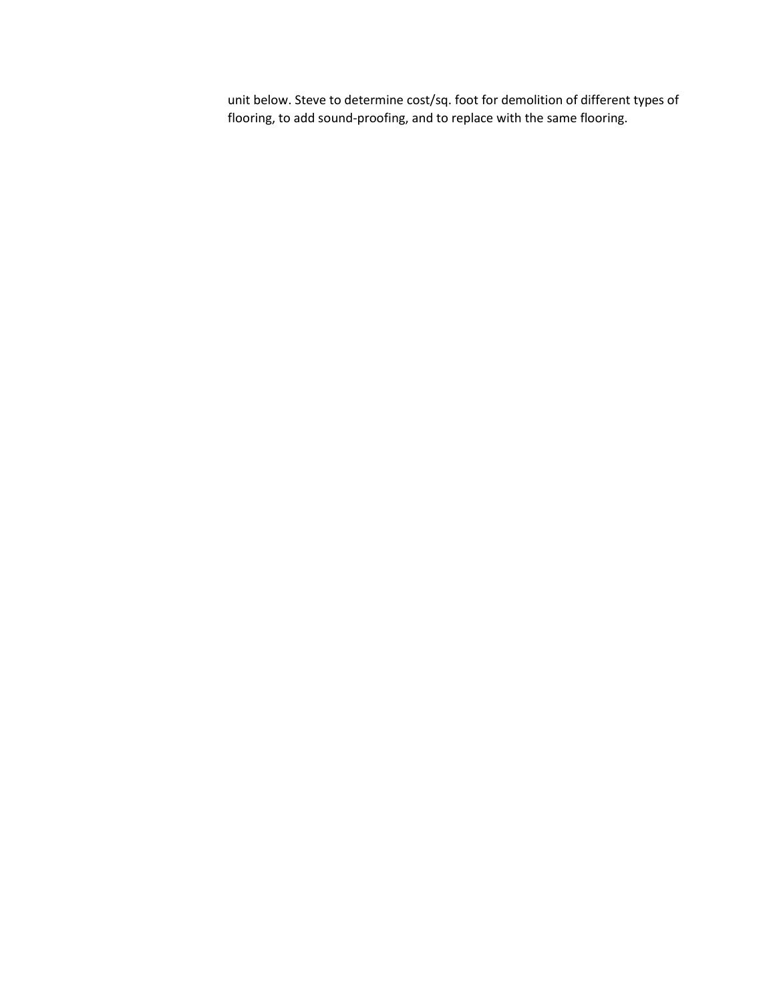unit below. Steve to determine cost/sq. foot for demolition of different types of flooring, to add sound-proofing, and to replace with the same flooring.